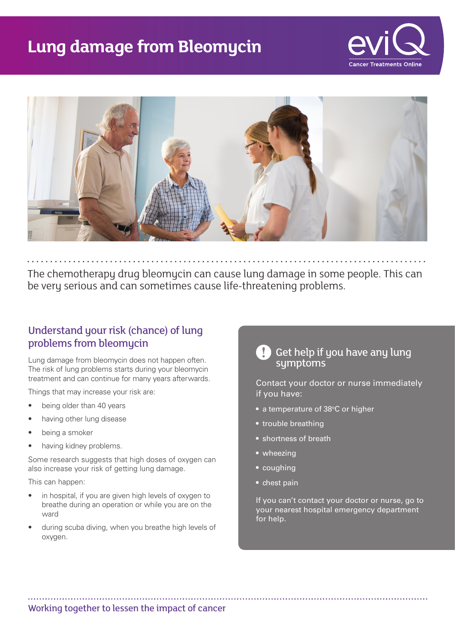## **Lung damage from Bleomycin**





The chemotherapy drug bleomycin can cause lung damage in some people. This can be very serious and can sometimes cause life-threatening problems.

#### Understand your risk (chance) of lung problems from bleomycin

Lung damage from bleomycin does not happen often. The risk of lung problems starts during your bleomycin treatment and can continue for many years afterwards.

Things that may increase your risk are:

- being older than 40 years
- having other lung disease
- being a smoker
- having kidney problems.

Some research suggests that high doses of oxygen can also increase your risk of getting lung damage.

This can happen:

- in hospital, if you are given high levels of oxygen to breathe during an operation or while you are on the ward
- during scuba diving, when you breathe high levels of oxygen.

# Get help if you have any lung symptoms

Contact your doctor or nurse immediately if you have:

- a temperature of 38°C or higher
- trouble breathing
- shortness of breath
- wheezing
- coughing
- chest pain

If you can't contact your doctor or nurse, go to your nearest hospital emergency department for help.

Working together to lessen the impact of cancer